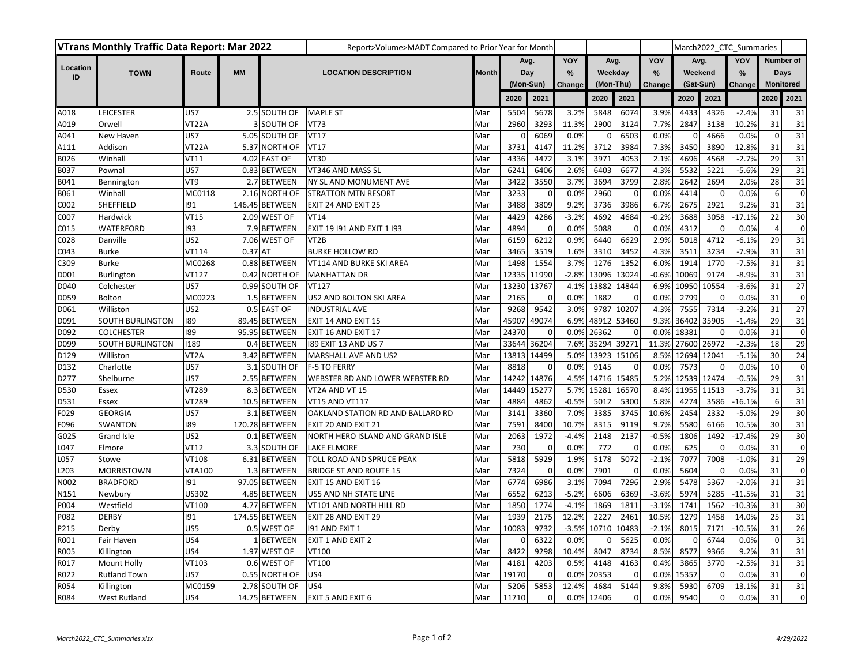| <b>VTrans Monthly Traffic Data Report: Mar 2022</b> |                         |                   |           |                | Report>Volume>MADT Compared to Prior Year for Month |              |                  |             |               |           |             |                          |           |             | March2022 CTC Summaries |                  |                 |
|-----------------------------------------------------|-------------------------|-------------------|-----------|----------------|-----------------------------------------------------|--------------|------------------|-------------|---------------|-----------|-------------|--------------------------|-----------|-------------|-------------------------|------------------|-----------------|
|                                                     |                         |                   |           |                |                                                     |              | Avg.             |             | YOY           | Avg.      |             | YOY                      | Avg.      |             | YOY                     |                  | Number of       |
| Location<br>ID                                      | <b>TOWN</b>             | Route             | <b>MM</b> |                | <b>LOCATION DESCRIPTION</b>                         | <b>Month</b> | Day<br>(Mon-Sun) |             | $\frac{9}{6}$ | Weekday   |             | $\frac{9}{6}$<br>Weekend |           |             | $\frac{9}{6}$           | Days             |                 |
|                                                     |                         |                   |           |                |                                                     |              |                  |             | Change        | (Mon-Thu) |             | Change                   | (Sat-Sun) |             | Change                  | <b>Monitored</b> |                 |
|                                                     |                         |                   |           |                |                                                     |              | 2020             | 2021        |               | 2020      | 2021        |                          | 2020      | 2021        |                         | 2020             | 2021            |
| A018                                                | LEICESTER               | US7               |           | 2.5 SOUTH OF   | <b>MAPLE ST</b>                                     | Mar          | 5504             | 5678        | 3.2%          | 5848      | 6074        | 3.9%                     | 4433      | 4326        | $-2.4%$                 | 31               | 31              |
| A019                                                | Orwell                  | VT22A             |           | 3 SOUTH OF     | <b>VT73</b>                                         | Mar          | 2960             | 3293        | 11.3%         | 2900      | 3124        | 7.7%                     | 2847      | 3138        | 10.2%                   | 31               | 31              |
| A041                                                | New Haven               | US7               |           | 5.05 SOUTH OF  | <b>VT17</b>                                         | Mar          | 0                | 6069        | 0.0%          | 0         | 6503        | 0.0%                     | 0         | 4666        | 0.0%                    | $\mathbf 0$      | 31              |
| A111                                                | Addison                 | VT22A             |           | 5.37 NORTH OF  | <b>VT17</b>                                         | Mar          | 3731             | 4147        | 11.2%         | 3712      | 3984        | 7.3%                     | 3450      | 3890        | 12.8%                   | 31               | 31              |
| B026                                                | Winhall                 | <b>VT11</b>       |           | 4.02 EAST OF   | <b>VT30</b>                                         | Mar          | 4336             | 4472        | 3.1%          | 3971      | 4053        | 2.1%                     | 4696      | 4568        | $-2.7%$                 | 29               | 31              |
| B037                                                | Pownal                  | US7               |           | 0.83 BETWEEN   | VT346 AND MASS SL                                   | Mar          | 6241             | 6406        | 2.6%          | 6403      | 6677        | 4.3%                     | 5532      | 5221        | $-5.6%$                 | 29               | 31              |
| B041                                                | Bennington              | VT9               |           | 2.7 BETWEEN    | NY SL AND MONUMENT AVE                              | Mar          | 3422             | 3550        | 3.7%          | 3694      | 3799        | 2.8%                     | 2642      | 2694        | 2.0%                    | 28               | 31              |
| B061                                                | Winhall                 | MC0118            |           | 2.16 NORTH OF  | <b>STRATTON MTN RESORT</b>                          | Mar          | 3233             | $\mathbf 0$ | 0.0%          | 2960      | $\Omega$    | 0.0%                     | 4414      | 0           | 0.0%                    | 6                | $\mathbf 0$     |
| C002                                                | SHEFFIELD               | 191               |           | 146.45 BETWEEN | EXIT 24 AND EXIT 25                                 | Mar          | 3488             | 3809        | 9.2%          | 3736      | 3986        | 6.7%                     | 2675      | 2921        | 9.2%                    | 31               | 31              |
| C007                                                | Hardwick                | <b>VT15</b>       |           | 2.09 WEST OF   | VT14                                                | Mar          | 4429             | 4286        | $-3.2%$       | 4692      | 4684        | $-0.2%$                  | 3688      | 3058        | $-17.1%$                | 22               | 30              |
| C015                                                | WATERFORD               | 193               |           | 7.9 BETWEEN    | EXIT 19 191 AND EXIT 1 193                          | Mar          | 4894             | $\mathsf 0$ | 0.0%          | 5088      | $\mathbf 0$ | 0.0%                     | 4312      | $\mathbf 0$ | 0.0%                    | $\overline{4}$   | $\pmb{0}$       |
| C028                                                | Danville                | US <sub>2</sub>   |           | 7.06 WEST OF   | VT <sub>2</sub> B                                   | Mar          | 6159             | 6212        | 0.9%          | 6440      | 6629        | 2.9%                     | 5018      | 4712        | $-6.1%$                 | 29               | 31              |
| C043                                                | <b>Burke</b>            | VT114             | $0.37$ AT |                | <b>BURKE HOLLOW RD</b>                              | Mar          | 3465             | 3519        | 1.6%          | 3310      | 3452        | 4.3%                     | 3511      | 3234        | $-7.9%$                 | 31               | 31              |
| C309                                                | <b>Burke</b>            | MC0268            |           | 0.88 BETWEEN   | VT114 AND BURKE SKI AREA                            | Mar          | 1498             | 1554        | 3.7%          | 1276      | 1352        | 6.0%                     | 1914      | 1770        | $-7.5%$                 | 31               | 31              |
| D001                                                | Burlington              | VT127             |           | 0.42 NORTH OF  | <b>MANHATTAN DR</b>                                 | Mar          | 12335 11990      |             | $-2.8%$       | 13096     | 13024       | $-0.6%$                  | 10069     | 9174        | $-8.9%$                 | 31               | 31              |
| D040                                                | Colchester              | US7               |           | 0.99 SOUTH OF  | VT127                                               | Mar          | 13230 13767      |             | 4.1%          | 13882     | 14844       | 6.9%                     | 10950     | 10554       | $-3.6%$                 | 31               | 27              |
| D059                                                | <b>Bolton</b>           | MC0223            |           | 1.5 BETWEEN    | US2 AND BOLTON SKI AREA                             | Mar          | 2165             | 0           | 0.0%          | 1882      | $\mathbf 0$ | 0.0%                     | 2799      | 0           | 0.0%                    | 31               | $\mathbf 0$     |
| D061                                                | Williston               | US <sub>2</sub>   |           | 0.5 EAST OF    | <b>INDUSTRIAL AVE</b>                               | Mar          | 9268             | 9542        | 3.0%          | 9787      | 10207       | 4.3%                     | 7555      | 7314        | $-3.2%$                 | 31               | 27              |
| D091                                                | <b>SOUTH BURLINGTON</b> | 189               |           | 89.45 BETWEEN  | EXIT 14 AND EXIT 15                                 | Mar          | 45907            | 49074       | 6.9%          | 48912     | 53460       | 9.3%                     | 36402     | 35905       | $-1.4%$                 | 29               | 31              |
| D092                                                | <b>COLCHESTER</b>       | 189               |           | 95.95 BETWEEN  | EXIT 16 AND EXIT 17                                 | Mar          | 24370            | $\mathbf 0$ | 0.0%          | 26362     | $\mathbf 0$ | 0.0%                     | 18381     | $\mathbf 0$ | 0.0%                    | 31               | $\pmb{0}$       |
| D099                                                | SOUTH BURLINGTON        | 1189              |           | 0.4 BETWEEN    | 189 EXIT 13 AND US 7                                | Mar          | 33644            | 36204       | 7.6%          | 35294     | 39271       | 11.3%                    | 27600     | 26972       | $-2.3%$                 | 18               | 29              |
| D129                                                | Williston               | VT <sub>2</sub> A |           | 3.42 BETWEEN   | MARSHALL AVE AND US2                                | Mar          | 13813            | 14499       | 5.0%          | 13923     | 15106       | 8.5%                     | 12694     | 12041       | $-5.1%$                 | 30               | $\overline{24}$ |
| D132                                                | Charlotte               | US7               |           | 3.1 SOUTH OF   | <b>F-5 TO FERRY</b>                                 | Mar          | 8818             | $\mathbf 0$ | 0.0%          | 9145      | $\Omega$    | 0.0%                     | 7573      | $\Omega$    | 0.0%                    | 10               | $\mathbf 0$     |
| D277                                                | Shelburne               | US7               |           | 2.55 BETWEEN   | WEBSTER RD AND LOWER WEBSTER RD                     | Mar          | 14242            | 14876       | 4.5%          | 14716     | 15485       | 5.2%                     | 12539     | 12474       | $-0.5%$                 | 29               | 31              |
| D530                                                | Essex                   | VT289             |           | 8.3 BETWEEN    | VT2A AND VT 15                                      | Mar          | 14449            | 15277       | 5.7%          | 15281     | 16570       | 8.4%                     | 11955     | 11513       | $-3.7%$                 | 31               | 31              |
| D531                                                | Essex                   | VT289             |           | 10.5 BETWEEN   | VT15 AND VT117                                      | Mar          | 4884             | 4862        | $-0.5%$       | 5012      | 5300        | 5.8%                     | 4274      | 3586        | $-16.1%$                | 6                | 31              |
| F029                                                | <b>GEORGIA</b>          | US7               |           | 3.1 BETWEEN    | OAKLAND STATION RD AND BALLARD RD                   | Mar          | 3141             | 3360        | 7.0%          | 3385      | 3745        | 10.6%                    | 2454      | 2332        | $-5.0%$                 | 29               | 30              |
| F096                                                | <b>SWANTON</b>          | 189               |           | 120.28 BETWEEN | EXIT 20 AND EXIT 21                                 | Mar          | 7591             | 8400        | 10.7%         | 8315      | 9119        | 9.7%                     | 5580      | 6166        | 10.5%                   | 30               | 31              |
| G025                                                | Grand Isle              | US <sub>2</sub>   |           | 0.1 BETWEEN    | NORTH HERO ISLAND AND GRAND ISLE                    | Mar          | 2063             | 1972        | $-4.4%$       | 2148      | 2137        | $-0.5%$                  | 1806      | 1492        | $-17.4%$                | 29               | 30              |
| L047                                                | Elmore                  | <b>VT12</b>       |           | 3.3 SOUTH OF   | <b>LAKE ELMORE</b>                                  | Mar          | 730              | $\mathbf 0$ | 0.0%          | 772       | $\mathbf 0$ | 0.0%                     | 625       | $\mathbf 0$ | 0.0%                    | 31               | $\pmb{0}$       |
| L057                                                | Stowe                   | VT108             |           | 6.31 BETWEEN   | TOLL ROAD AND SPRUCE PEAK                           | Mar          | 5818             | 5929        | 1.9%          | 5178      | 5072        | $-2.1%$                  | 7077      | 7008        | $-1.0%$                 | 31               | 29              |
| L203                                                | <b>MORRISTOWN</b>       | <b>VTA100</b>     |           | 1.3 BETWEEN    | <b>BRIDGE ST AND ROUTE 15</b>                       | Mar          | 7324             | $\mathsf 0$ | 0.0%          | 7901      | $\mathbf 0$ | 0.0%                     | 5604      | $\mathbf 0$ | 0.0%                    | 31               | $\pmb{0}$       |
| N002                                                | <b>BRADFORD</b>         | 191               |           | 97.05 BETWEEN  | EXIT 15 AND EXIT 16                                 | Mar          | 6774             | 6986        | 3.1%          | 7094      | 7296        | 2.9%                     | 5478      | 5367        | $-2.0%$                 | 31               | 31              |
| N151                                                | Newbury                 | <b>US302</b>      |           | 4.85 BETWEEN   | US5 AND NH STATE LINE                               | Mar          | 6552             | 6213        | $-5.2%$       | 6606      | 6369        | $-3.6%$                  | 5974      | 5285        | $-11.5%$                | 31               | 31              |
| P004                                                | Westfield               | VT100             |           | 4.77 BETWEEN   | VT101 AND NORTH HILL RD                             | Mar          | 1850             | 1774        | $-4.1%$       | 1869      | 1811        | $-3.1%$                  | 1741      | 1562        | $-10.3%$                | 31               | 30              |
| P082                                                | <b>DERBY</b>            | 191               |           | 174.55 BETWEEN | EXIT 28 AND EXIT 29                                 | Mar          | 1939             | 2175        | 12.2%         | 2227      | 2461        | 10.5%                    | 1279      | 1458        | 14.0%                   | 25               | 31              |
| P215                                                | Derby                   | US5               |           | 0.5 WEST OF    | 191 AND EXIT 1                                      | Mar          | 10083            | 9732        | $-3.5%$       | 10710     | 10483       | $-2.1%$                  | 8015      | 7171        | $-10.5%$                | 31               | 26              |
| R001                                                | Fair Haven              | US4               |           | 1 BETWEEN      | EXIT 1 AND EXIT 2                                   | Mar          | 0                | 6322        | 0.0%          | O         | 5625        | 0.0%                     | 0         | 6744        | 0.0%                    | $\Omega$         | 31              |
| R005                                                | Killington              | US4               |           | 1.97 WEST OF   | VT100                                               | Mar          | 8422             | 9298        | 10.4%         | 8047      | 8734        | 8.5%                     | 8577      | 9366        | 9.2%                    | 31               | 31              |
| R017                                                | <b>Mount Holly</b>      | VT103             |           | 0.6 WEST OF    | VT100                                               | Mar          | 4181             | 4203        | 0.5%          | 4148      | 4163        | 0.4%                     | 3865      | 3770        | $-2.5%$                 | 31               | 31              |
| R022                                                | <b>Rutland Town</b>     | US7               |           | 0.55 NORTH OF  | US4                                                 | Mar          | 19170            | $\Omega$    | 0.0%          | 20353     | 0           | 0.0%                     | 15357     | $\mathbf 0$ | 0.0%                    | 31               | $\pmb{0}$       |
| R054                                                | Killington              | MC0159            |           | 2.78 SOUTH OF  | US4                                                 | Mar          | 5206             | 5853        | 12.4%         | 4684      | 5144        | 9.8%                     | 5930      | 6709        | 13.1%                   | 31               | 31              |
| R084                                                | <b>West Rutland</b>     | US4               |           | 14.75 BETWEEN  | <b>EXIT 5 AND EXIT 6</b>                            | Mar          | 11710            | $\mathbf 0$ | 0.0%          | 12406     | $\Omega$    | 0.0%                     | 9540      | $\Omega$    | 0.0%                    | 31               | $\mathbf 0$     |